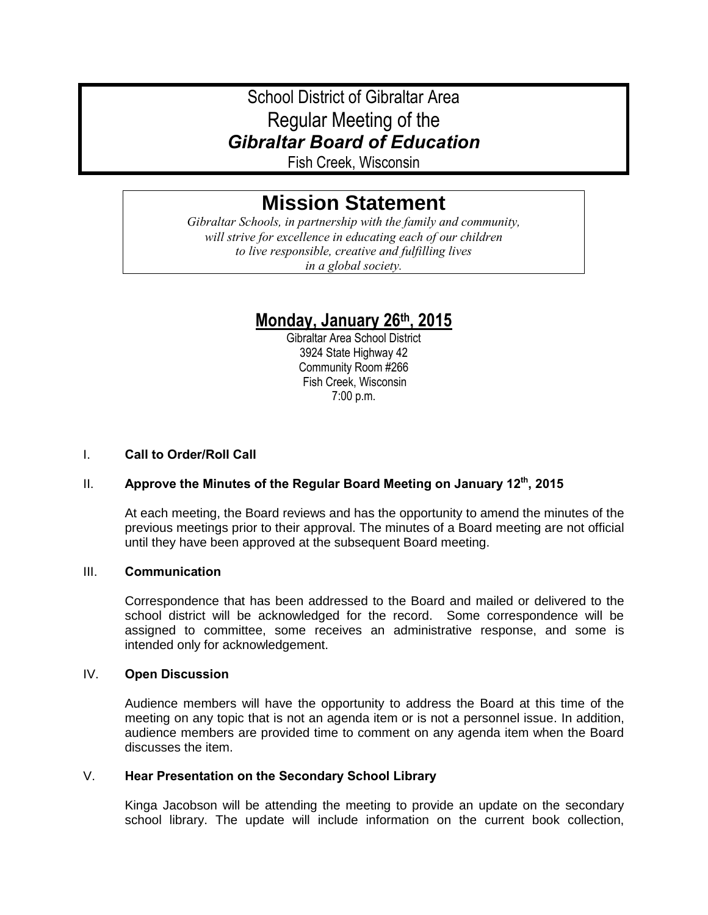# School District of Gibraltar Area Regular Meeting of the *Gibraltar Board of Education*

Fish Creek, Wisconsin

# **Mission Statement**

*Gibraltar Schools, in partnership with the family and community, will strive for excellence in educating each of our children to live responsible, creative and fulfilling lives in a global society.*

# **Monday, January 26th, 2015**

Gibraltar Area School District 3924 State Highway 42 Community Room #266 Fish Creek, Wisconsin 7:00 p.m.

# I. **Call to Order/Roll Call**

# II. **Approve the Minutes of the Regular Board Meeting on January 12th, 2015**

At each meeting, the Board reviews and has the opportunity to amend the minutes of the previous meetings prior to their approval. The minutes of a Board meeting are not official until they have been approved at the subsequent Board meeting.

### III. **Communication**

Correspondence that has been addressed to the Board and mailed or delivered to the school district will be acknowledged for the record. Some correspondence will be assigned to committee, some receives an administrative response, and some is intended only for acknowledgement.

# IV. **Open Discussion**

Audience members will have the opportunity to address the Board at this time of the meeting on any topic that is not an agenda item or is not a personnel issue. In addition, audience members are provided time to comment on any agenda item when the Board discusses the item.

### V. **Hear Presentation on the Secondary School Library**

Kinga Jacobson will be attending the meeting to provide an update on the secondary school library. The update will include information on the current book collection,